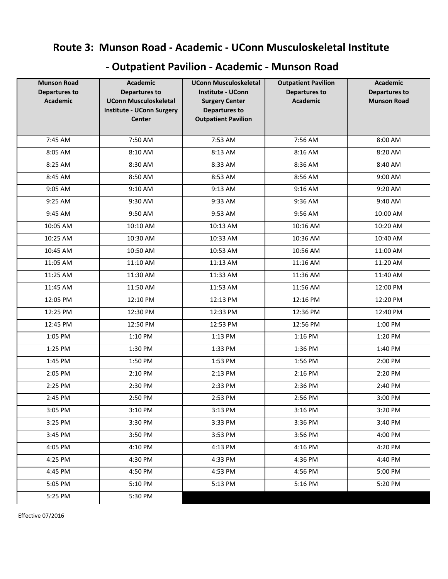## **Route 3: Munson Road - Academic - UConn Musculoskeletal Institute**

## **- Outpatient Pavilion - Academic - Munson Road**

| <b>Munson Road</b><br><b>Departures to</b><br><b>Academic</b> | <b>Academic</b><br><b>Departures to</b><br><b>UConn Musculoskeletal</b><br><b>Institute - UConn Surgery</b><br><b>Center</b> | <b>UConn Musculoskeletal</b><br><b>Institute - UConn</b><br><b>Surgery Center</b><br><b>Departures to</b><br><b>Outpatient Pavilion</b> | <b>Outpatient Pavilion</b><br><b>Departures to</b><br><b>Academic</b> | <b>Academic</b><br><b>Departures to</b><br><b>Munson Road</b> |
|---------------------------------------------------------------|------------------------------------------------------------------------------------------------------------------------------|-----------------------------------------------------------------------------------------------------------------------------------------|-----------------------------------------------------------------------|---------------------------------------------------------------|
| 7:45 AM                                                       | 7:50 AM                                                                                                                      | 7:53 AM                                                                                                                                 | 7:56 AM                                                               | 8:00 AM                                                       |
| 8:05 AM                                                       | 8:10 AM                                                                                                                      | 8:13 AM                                                                                                                                 | 8:16 AM                                                               | 8:20 AM                                                       |
| 8:25 AM                                                       | 8:30 AM                                                                                                                      | 8:33 AM                                                                                                                                 | 8:36 AM                                                               | 8:40 AM                                                       |
| 8:45 AM                                                       | 8:50 AM                                                                                                                      | 8:53 AM                                                                                                                                 | 8:56 AM                                                               | 9:00 AM                                                       |
| 9:05 AM                                                       | 9:10 AM                                                                                                                      | 9:13 AM                                                                                                                                 | 9:16 AM                                                               | 9:20 AM                                                       |
| 9:25 AM                                                       | 9:30 AM                                                                                                                      | 9:33 AM                                                                                                                                 | 9:36 AM                                                               | 9:40 AM                                                       |
| 9:45 AM                                                       | 9:50 AM                                                                                                                      | 9:53 AM                                                                                                                                 | 9:56 AM                                                               | 10:00 AM                                                      |
| 10:05 AM                                                      | 10:10 AM                                                                                                                     | 10:13 AM                                                                                                                                | 10:16 AM                                                              | 10:20 AM                                                      |
| 10:25 AM                                                      | 10:30 AM                                                                                                                     | 10:33 AM                                                                                                                                | 10:36 AM                                                              | 10:40 AM                                                      |
| 10:45 AM                                                      | 10:50 AM                                                                                                                     | 10:53 AM                                                                                                                                | 10:56 AM                                                              | 11:00 AM                                                      |
| 11:05 AM                                                      | 11:10 AM                                                                                                                     | 11:13 AM                                                                                                                                | 11:16 AM                                                              | 11:20 AM                                                      |
| 11:25 AM                                                      | 11:30 AM                                                                                                                     | 11:33 AM                                                                                                                                | 11:36 AM                                                              | 11:40 AM                                                      |
| 11:45 AM                                                      | 11:50 AM                                                                                                                     | 11:53 AM                                                                                                                                | 11:56 AM                                                              | 12:00 PM                                                      |
| 12:05 PM                                                      | 12:10 PM                                                                                                                     | 12:13 PM                                                                                                                                | 12:16 PM                                                              | 12:20 PM                                                      |
| 12:25 PM                                                      | 12:30 PM                                                                                                                     | 12:33 PM                                                                                                                                | 12:36 PM                                                              | 12:40 PM                                                      |
| 12:45 PM                                                      | 12:50 PM                                                                                                                     | 12:53 PM                                                                                                                                | 12:56 PM                                                              | 1:00 PM                                                       |
| 1:05 PM                                                       | 1:10 PM                                                                                                                      | 1:13 PM                                                                                                                                 | 1:16 PM                                                               | 1:20 PM                                                       |
| 1:25 PM                                                       | 1:30 PM                                                                                                                      | 1:33 PM                                                                                                                                 | 1:36 PM                                                               | 1:40 PM                                                       |
| 1:45 PM                                                       | 1:50 PM                                                                                                                      | 1:53 PM                                                                                                                                 | 1:56 PM                                                               | 2:00 PM                                                       |
| 2:05 PM                                                       | 2:10 PM                                                                                                                      | 2:13 PM                                                                                                                                 | 2:16 PM                                                               | 2:20 PM                                                       |
| 2:25 PM                                                       | 2:30 PM                                                                                                                      | 2:33 PM                                                                                                                                 | 2:36 PM                                                               | 2:40 PM                                                       |
| 2:45 PM                                                       | 2:50 PM                                                                                                                      | 2:53 PM                                                                                                                                 | 2:56 PM                                                               | 3:00 PM                                                       |
| 3:05 PM                                                       | 3:10 PM                                                                                                                      | 3:13 PM                                                                                                                                 | 3:16 PM                                                               | 3:20 PM                                                       |
| 3:25 PM                                                       | 3:30 PM                                                                                                                      | 3:33 PM                                                                                                                                 | 3:36 PM                                                               | 3:40 PM                                                       |
| 3:45 PM                                                       | 3:50 PM                                                                                                                      | 3:53 PM                                                                                                                                 | 3:56 PM                                                               | 4:00 PM                                                       |
| 4:05 PM                                                       | 4:10 PM                                                                                                                      | 4:13 PM                                                                                                                                 | 4:16 PM                                                               | 4:20 PM                                                       |
| 4:25 PM                                                       | 4:30 PM                                                                                                                      | 4:33 PM                                                                                                                                 | 4:36 PM                                                               | 4:40 PM                                                       |
| 4:45 PM                                                       | 4:50 PM                                                                                                                      | 4:53 PM                                                                                                                                 | 4:56 PM                                                               | 5:00 PM                                                       |
| 5:05 PM                                                       | 5:10 PM                                                                                                                      | 5:13 PM                                                                                                                                 | 5:16 PM                                                               | 5:20 PM                                                       |
| 5:25 PM                                                       | 5:30 PM                                                                                                                      |                                                                                                                                         |                                                                       |                                                               |

Effective 07/2016